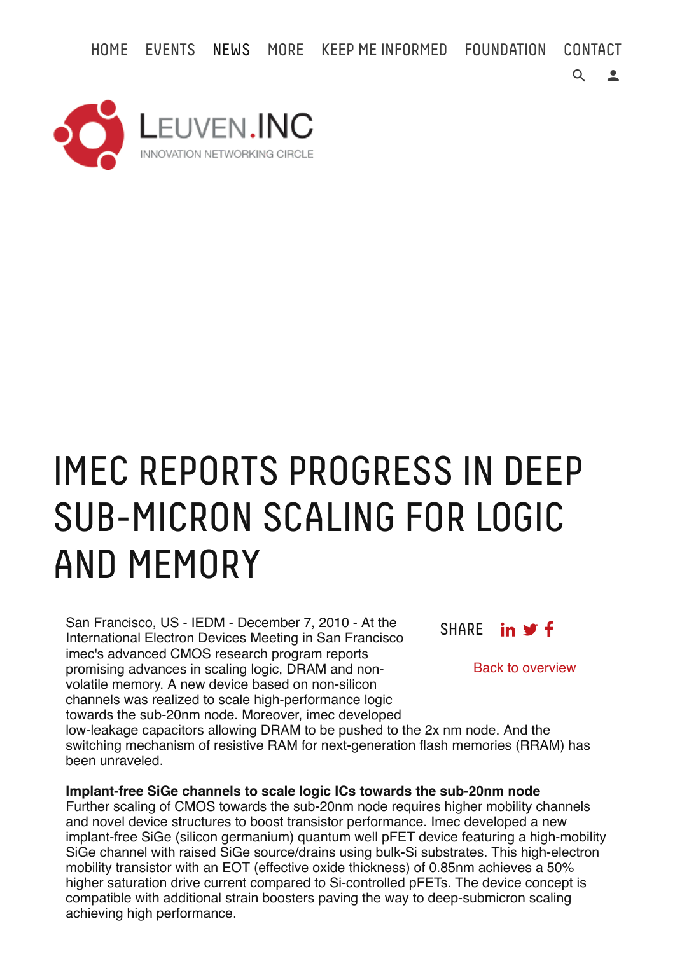HOME EVENTS NEWS MORE KEEP ME INFORMED FOUNDATION CONTACT



## IMEC REPORTS PROGRESS IN DEEP SUB-MICRON SCALING FOR LOGIC AND MEMORY

San Francisco, US - IEDM - December 7, 2010 - At the International Electron Devices Meeting in San Francisco imec's advanced CMOS research program reports promising advances in scaling logic, DRAM and nonvolatile memory. A new device based on non-silicon channels was realized to scale high-performance logic towards the sub-20nm node. Moreover, imec developed

SHARE in **y** f

Back to overview

 $Q \cdot$ 

low-leakage capacitors allowing DRAM to be pushed to the 2x nm node. And the switching mechanism of resistive RAM for next-generation flash memories (RRAM) has been unraveled.

**Implant-free SiGe channels to scale logic ICs towards the sub-20nm node** 

Further scaling of CMOS towards the sub-20nm node requires higher mobility channels and novel device structures to boost transistor performance. Imec developed a new implant-free SiGe (silicon germanium) quantum well pFET device featuring a high-mobility SiGe channel with raised SiGe source/drains using bulk-Si substrates. This high-electron mobility transistor with an EOT (effective oxide thickness) of 0.85nm achieves a 50% higher saturation drive current compared to Si-controlled pFETs. The device concept is compatible with additional strain boosters paving the way to deep-submicron scaling achieving high performance.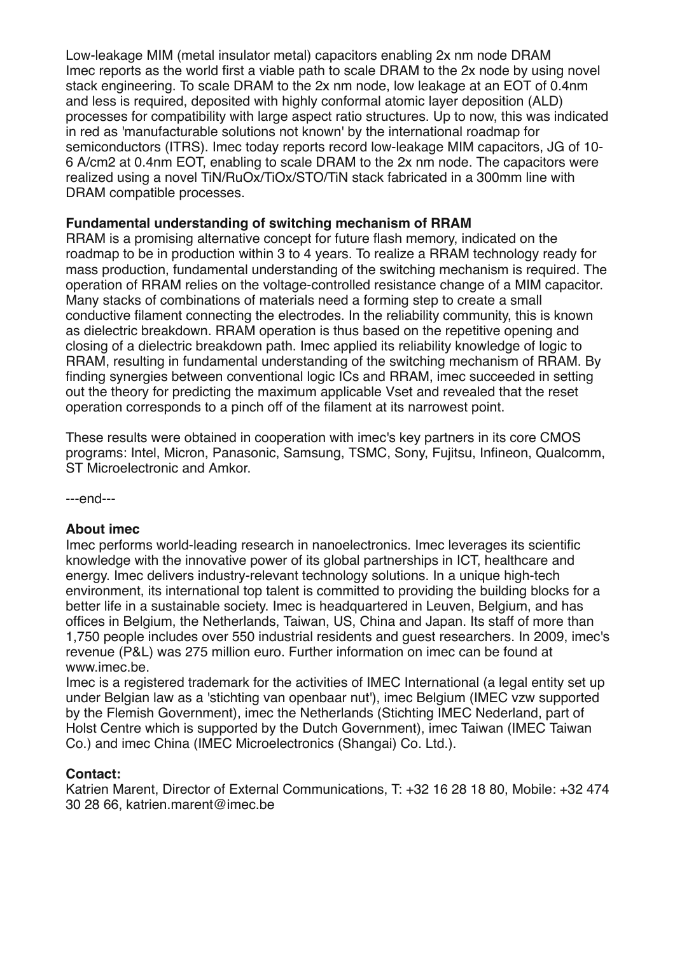Low-leakage MIM (metal insulator metal) capacitors enabling 2x nm node DRAM Imec reports as the world first a viable path to scale DRAM to the 2x node by using novel stack engineering. To scale DRAM to the 2x nm node, low leakage at an EOT of 0.4nm and less is required, deposited with highly conformal atomic layer deposition (ALD) processes for compatibility with large aspect ratio structures. Up to now, this was indicated in red as 'manufacturable solutions not known' by the international roadmap for semiconductors (ITRS). Imec today reports record low-leakage MIM capacitors, JG of 10- 6 A/cm2 at 0.4nm EOT, enabling to scale DRAM to the 2x nm node. The capacitors were realized using a novel TiN/RuOx/TiOx/STO/TiN stack fabricated in a 300mm line with DRAM compatible processes.

## **Fundamental understanding of switching mechanism of RRAM**

RRAM is a promising alternative concept for future flash memory, indicated on the roadmap to be in production within 3 to 4 years. To realize a RRAM technology ready for mass production, fundamental understanding of the switching mechanism is required. The operation of RRAM relies on the voltage-controlled resistance change of a MIM capacitor. Many stacks of combinations of materials need a forming step to create a small conductive filament connecting the electrodes. In the reliability community, this is known as dielectric breakdown. RRAM operation is thus based on the repetitive opening and closing of a dielectric breakdown path. Imec applied its reliability knowledge of logic to RRAM, resulting in fundamental understanding of the switching mechanism of RRAM. By finding synergies between conventional logic ICs and RRAM, imec succeeded in setting out the theory for predicting the maximum applicable Vset and revealed that the reset operation corresponds to a pinch off of the filament at its narrowest point.

These results were obtained in cooperation with imec's key partners in its core CMOS programs: Intel, Micron, Panasonic, Samsung, TSMC, Sony, Fujitsu, Infineon, Qualcomm, ST Microelectronic and Amkor.

---end---

## **About imec**

Imec performs world-leading research in nanoelectronics. Imec leverages its scientific knowledge with the innovative power of its global partnerships in ICT, healthcare and energy. Imec delivers industry-relevant technology solutions. In a unique high-tech environment, its international top talent is committed to providing the building blocks for a better life in a sustainable society. Imec is headquartered in Leuven, Belgium, and has offices in Belgium, the Netherlands, Taiwan, US, China and Japan. Its staff of more than 1,750 people includes over 550 industrial residents and guest researchers. In 2009, imec's revenue (P&L) was 275 million euro. Further information on imec can be found at www.imec.be.

Imec is a registered trademark for the activities of IMEC International (a legal entity set up under Belgian law as a 'stichting van openbaar nut'), imec Belgium (IMEC vzw supported by the Flemish Government), imec the Netherlands (Stichting IMEC Nederland, part of Holst Centre which is supported by the Dutch Government), imec Taiwan (IMEC Taiwan Co.) and imec China (IMEC Microelectronics (Shangai) Co. Ltd.).

## **Contact:**

Katrien Marent, Director of External Communications, T: +32 16 28 18 80, Mobile: +32 474 30 28 66, katrien.marent@imec.be